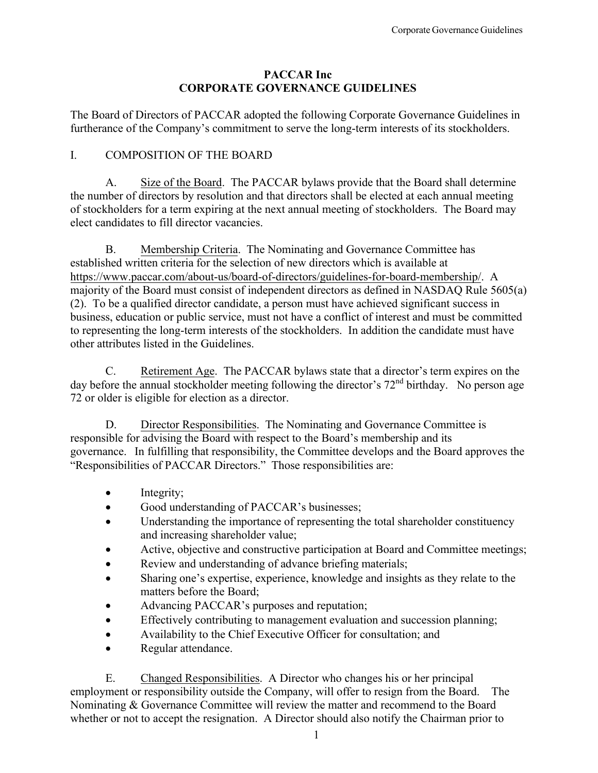## **PACCAR Inc CORPORATE GOVERNANCE GUIDELINES**

The Board of Directors of PACCAR adopted the following Corporate Governance Guidelines in furtherance of the Company's commitment to serve the long-term interests of its stockholders.

# I. COMPOSITION OF THE BOARD

A. Size of the Board. The PACCAR bylaws provide that the Board shall determine the number of directors by resolution and that directors shall be elected at each annual meeting of stockholders for a term expiring at the next annual meeting of stockholders. The Board may elect candidates to fill director vacancies.

B. Membership Criteria. The Nominating and Governance Committee has established written criteria for the selection of new directors which is available at <https://www.paccar.com/about-us/board-of-directors/guidelines-for-board-membership/>. A majority of the Board must consist of independent directors as defined in NASDAQ Rule 5605(a) (2). To be a qualified director candidate, a person must have achieved significant success in business, education or public service, must not have a conflict of interest and must be committed to representing the long-term interests of the stockholders. In addition the candidate must have other attributes listed in the Guidelines.

C. Retirement Age. The PACCAR bylaws state that a director's term expires on the day before the annual stockholder meeting following the director's 72<sup>nd</sup> birthday. No person age 72 or older is eligible for election as a director.

D. Director Responsibilities. The Nominating and Governance Committee is responsible for advising the Board with respect to the Board's membership and its governance. In fulfilling that responsibility, the Committee develops and the Board approves the "Responsibilities of PACCAR Directors." Those responsibilities are:

- Integrity;
- Good understanding of PACCAR's businesses;
- Understanding the importance of representing the total shareholder constituency and increasing shareholder value;
- Active, objective and constructive participation at Board and Committee meetings;
- Review and understanding of advance briefing materials;
- Sharing one's expertise, experience, knowledge and insights as they relate to the matters before the Board;
- Advancing PACCAR's purposes and reputation;
- Effectively contributing to management evaluation and succession planning;
- Availability to the Chief Executive Officer for consultation; and
- Regular attendance.

E. Changed Responsibilities. A Director who changes his or her principal employment or responsibility outside the Company, will offer to resign from the Board. The Nominating & Governance Committee will review the matter and recommend to the Board whether or not to accept the resignation. A Director should also notify the Chairman prior to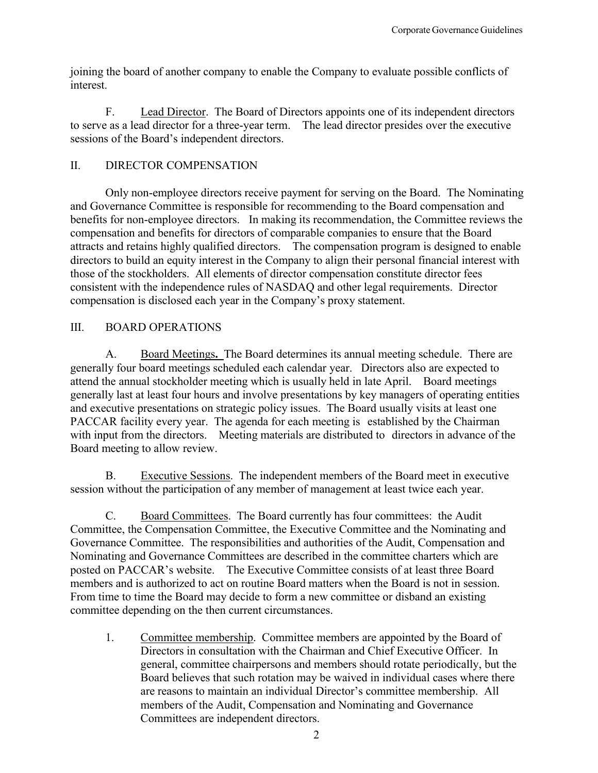joining the board of another company to enable the Company to evaluate possible conflicts of interest.

F. Lead Director. The Board of Directors appoints one of its independent directors to serve as a lead director for a three-year term. The lead director presides over the executive sessions of the Board's independent directors.

## II. DIRECTOR COMPENSATION

Only non-employee directors receive payment for serving on the Board. The Nominating and Governance Committee is responsible for recommending to the Board compensation and benefits for non-employee directors. In making its recommendation, the Committee reviews the compensation and benefits for directors of comparable companies to ensure that the Board attracts and retains highly qualified directors. The compensation program is designed to enable directors to build an equity interest in the Company to align their personal financial interest with those of the stockholders. All elements of director compensation constitute director fees consistent with the independence rules of NASDAQ and other legal requirements. Director compensation is disclosed each year in the Company's proxy statement.

## III. BOARD OPERATIONS

A. Board Meetings**.** The Board determines its annual meeting schedule. There are generally four board meetings scheduled each calendar year. Directors also are expected to attend the annual stockholder meeting which is usually held in late April. Board meetings generally last at least four hours and involve presentations by key managers of operating entities and executive presentations on strategic policy issues. The Board usually visits at least one PACCAR facility every year. The agenda for each meeting is established by the Chairman with input from the directors. Meeting materials are distributed to directors in advance of the Board meeting to allow review.

B. Executive Sessions. The independent members of the Board meet in executive session without the participation of any member of management at least twice each year.

C. Board Committees. The Board currently has four committees: the Audit Committee, the Compensation Committee, the Executive Committee and the Nominating and Governance Committee. The responsibilities and authorities of the Audit, Compensation and Nominating and Governance Committees are described in the committee charters which are posted on PACCAR's website. The Executive Committee consists of at least three Board members and is authorized to act on routine Board matters when the Board is not in session. From time to time the Board may decide to form a new committee or disband an existing committee depending on the then current circumstances.

1. Committee membership. Committee members are appointed by the Board of Directors in consultation with the Chairman and Chief Executive Officer. In general, committee chairpersons and members should rotate periodically, but the Board believes that such rotation may be waived in individual cases where there are reasons to maintain an individual Director's committee membership. All members of the Audit, Compensation and Nominating and Governance Committees are independent directors.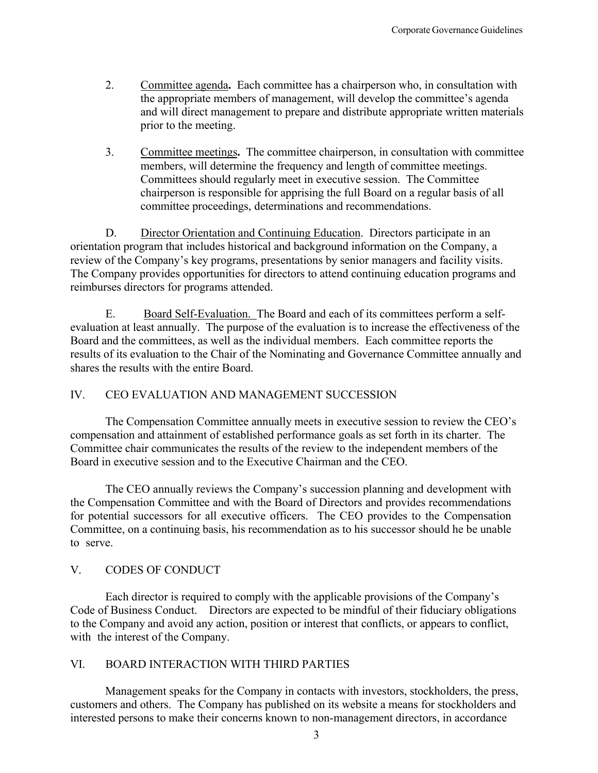- 2. Committee agenda**.** Each committee has a chairperson who, in consultation with the appropriate members of management, will develop the committee's agenda and will direct management to prepare and distribute appropriate written materials prior to the meeting.
- 3. Committee meetings**.** The committee chairperson, in consultation with committee members, will determine the frequency and length of committee meetings. Committees should regularly meet in executive session. The Committee chairperson is responsible for apprising the full Board on a regular basis of all committee proceedings, determinations and recommendations.

D. Director Orientation and Continuing Education. Directors participate in an orientation program that includes historical and background information on the Company, a review of the Company's key programs, presentations by senior managers and facility visits. The Company provides opportunities for directors to attend continuing education programs and reimburses directors for programs attended.

E. Board Self-Evaluation. The Board and each of its committees perform a selfevaluation at least annually. The purpose of the evaluation is to increase the effectiveness of the Board and the committees, as well as the individual members. Each committee reports the results of its evaluation to the Chair of the Nominating and Governance Committee annually and shares the results with the entire Board.

#### IV. CEO EVALUATION AND MANAGEMENT SUCCESSION

The Compensation Committee annually meets in executive session to review the CEO's compensation and attainment of established performance goals as set forth in its charter. The Committee chair communicates the results of the review to the independent members of the Board in executive session and to the Executive Chairman and the CEO.

The CEO annually reviews the Company's succession planning and development with the Compensation Committee and with the Board of Directors and provides recommendations for potential successors for all executive officers. The CEO provides to the Compensation Committee, on a continuing basis, his recommendation as to his successor should he be unable to serve.

#### V. CODES OF CONDUCT

Each director is required to comply with the applicable provisions of the Company's Code of Business Conduct. Directors are expected to be mindful of their fiduciary obligations to the Company and avoid any action, position or interest that conflicts, or appears to conflict, with the interest of the Company.

#### VI. BOARD INTERACTION WITH THIRD PARTIES

Management speaks for the Company in contacts with investors, stockholders, the press, customers and others. The Company has published on its website a means for stockholders and interested persons to make their concerns known to non-management directors, in accordance